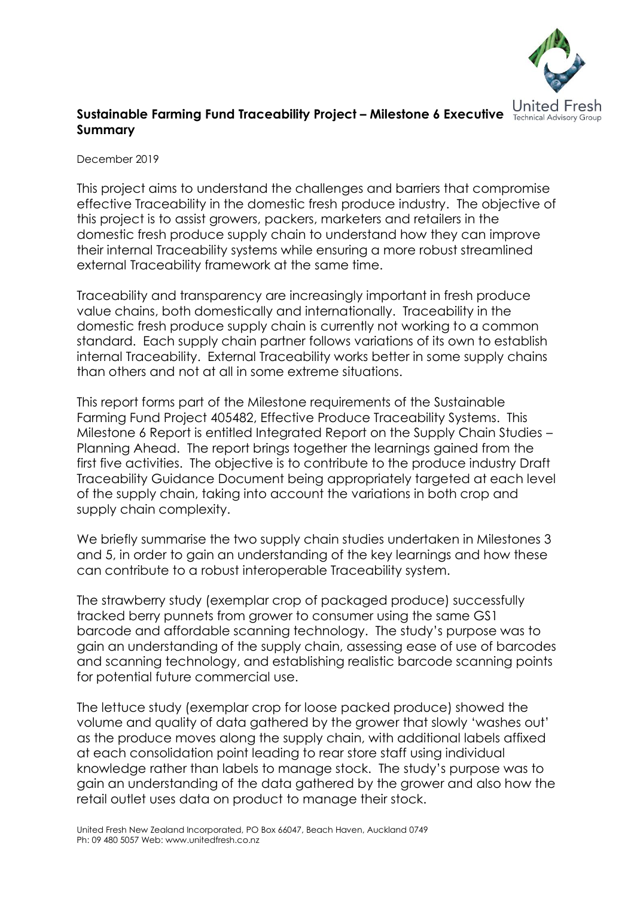

## **Sustainable Farming Fund Traceability Project – Milestone 6 Executive Summary**

December 2019

This project aims to understand the challenges and barriers that compromise effective Traceability in the domestic fresh produce industry. The objective of this project is to assist growers, packers, marketers and retailers in the domestic fresh produce supply chain to understand how they can improve their internal Traceability systems while ensuring a more robust streamlined external Traceability framework at the same time.

Traceability and transparency are increasingly important in fresh produce value chains, both domestically and internationally. Traceability in the domestic fresh produce supply chain is currently not working to a common standard. Each supply chain partner follows variations of its own to establish internal Traceability. External Traceability works better in some supply chains than others and not at all in some extreme situations.

This report forms part of the Milestone requirements of the Sustainable Farming Fund Project 405482, Effective Produce Traceability Systems. This Milestone 6 Report is entitled Integrated Report on the Supply Chain Studies – Planning Ahead. The report brings together the learnings gained from the first five activities. The objective is to contribute to the produce industry Draft Traceability Guidance Document being appropriately targeted at each level of the supply chain, taking into account the variations in both crop and supply chain complexity.

We briefly summarise the two supply chain studies undertaken in Milestones 3 and 5, in order to gain an understanding of the key learnings and how these can contribute to a robust interoperable Traceability system.

The strawberry study (exemplar crop of packaged produce) successfully tracked berry punnets from grower to consumer using the same GS1 barcode and affordable scanning technology. The study's purpose was to gain an understanding of the supply chain, assessing ease of use of barcodes and scanning technology, and establishing realistic barcode scanning points for potential future commercial use.

The lettuce study (exemplar crop for loose packed produce) showed the volume and quality of data gathered by the grower that slowly 'washes out' as the produce moves along the supply chain, with additional labels affixed at each consolidation point leading to rear store staff using individual knowledge rather than labels to manage stock. The study's purpose was to gain an understanding of the data gathered by the grower and also how the retail outlet uses data on product to manage their stock.